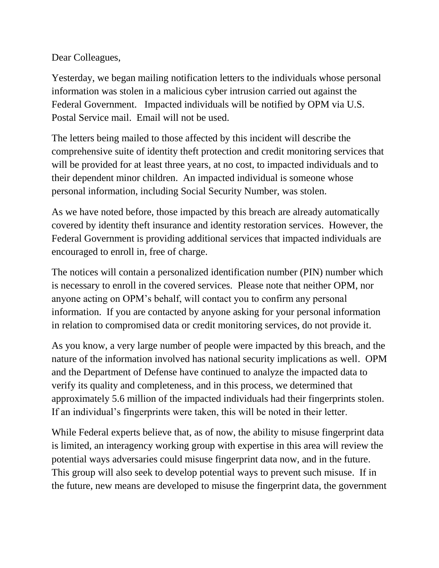Dear Colleagues,

Yesterday, we began mailing notification letters to the individuals whose personal information was stolen in a malicious cyber intrusion carried out against the Federal Government. Impacted individuals will be notified by OPM via U.S. Postal Service mail. Email will not be used.

The letters being mailed to those affected by this incident will describe the comprehensive suite of identity theft protection and credit monitoring services that will be provided for at least three years, at no cost, to impacted individuals and to their dependent minor children. An impacted individual is someone whose personal information, including Social Security Number, was stolen.

As we have noted before, those impacted by this breach are already automatically covered by identity theft insurance and identity restoration services. However, the Federal Government is providing additional services that impacted individuals are encouraged to enroll in, free of charge.

The notices will contain a personalized identification number (PIN) number which is necessary to enroll in the covered services. Please note that neither OPM, nor anyone acting on OPM's behalf, will contact you to confirm any personal information. If you are contacted by anyone asking for your personal information in relation to compromised data or credit monitoring services, do not provide it.

As you know, a very large number of people were impacted by this breach, and the nature of the information involved has national security implications as well. OPM and the Department of Defense have continued to analyze the impacted data to verify its quality and completeness, and in this process, we determined that approximately 5.6 million of the impacted individuals had their fingerprints stolen. If an individual's fingerprints were taken, this will be noted in their letter.

While Federal experts believe that, as of now, the ability to misuse fingerprint data is limited, an interagency working group with expertise in this area will review the potential ways adversaries could misuse fingerprint data now, and in the future. This group will also seek to develop potential ways to prevent such misuse. If in the future, new means are developed to misuse the fingerprint data, the government